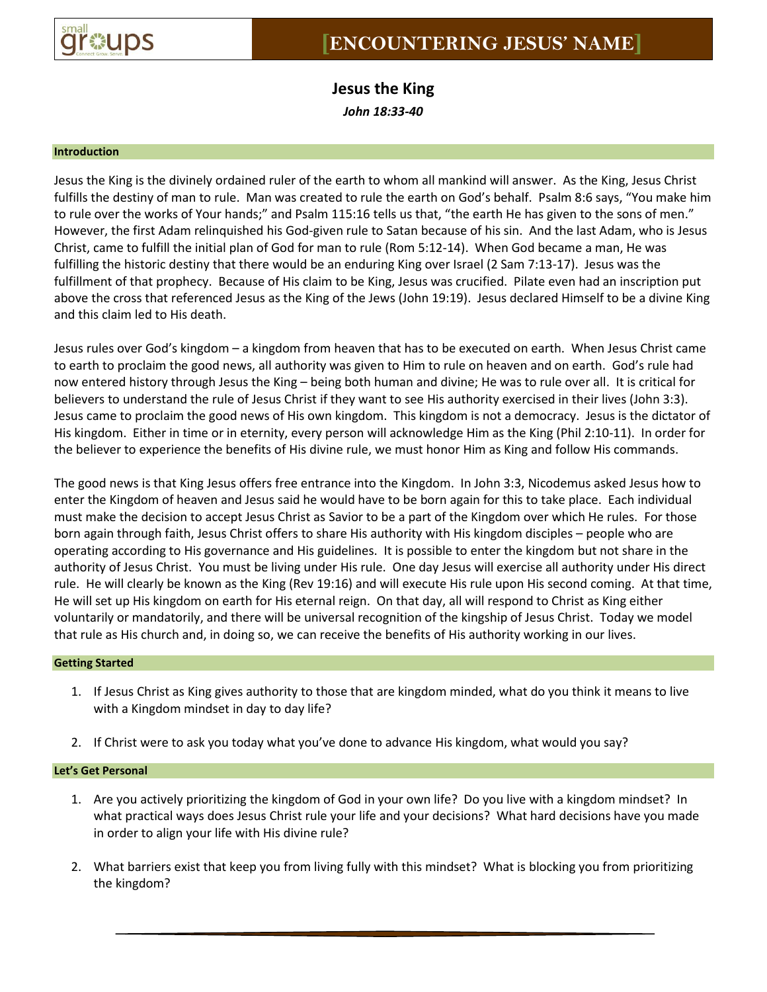

**Jesus the King** *John 18:33-40*

### **Introduction**

Jesus the King is the divinely ordained ruler of the earth to whom all mankind will answer. As the King, Jesus Christ fulfills the destiny of man to rule. Man was created to rule the earth on God's behalf. Psalm 8:6 says, "You make him to rule over the works of Your hands;" and Psalm 115:16 tells us that, "the earth He has given to the sons of men." However, the first Adam relinquished his God-given rule to Satan because of his sin. And the last Adam, who is Jesus Christ, came to fulfill the initial plan of God for man to rule (Rom 5:12-14). When God became a man, He was fulfilling the historic destiny that there would be an enduring King over Israel (2 Sam 7:13-17). Jesus was the fulfillment of that prophecy. Because of His claim to be King, Jesus was crucified. Pilate even had an inscription put above the cross that referenced Jesus as the King of the Jews (John 19:19). Jesus declared Himself to be a divine King and this claim led to His death.

Jesus rules over God's kingdom – a kingdom from heaven that has to be executed on earth. When Jesus Christ came to earth to proclaim the good news, all authority was given to Him to rule on heaven and on earth. God's rule had now entered history through Jesus the King – being both human and divine; He was to rule over all. It is critical for believers to understand the rule of Jesus Christ if they want to see His authority exercised in their lives (John 3:3). Jesus came to proclaim the good news of His own kingdom. This kingdom is not a democracy. Jesus is the dictator of His kingdom. Either in time or in eternity, every person will acknowledge Him as the King (Phil 2:10-11). In order for the believer to experience the benefits of His divine rule, we must honor Him as King and follow His commands.

The good news is that King Jesus offers free entrance into the Kingdom. In John 3:3, Nicodemus asked Jesus how to enter the Kingdom of heaven and Jesus said he would have to be born again for this to take place. Each individual must make the decision to accept Jesus Christ as Savior to be a part of the Kingdom over which He rules. For those born again through faith, Jesus Christ offers to share His authority with His kingdom disciples – people who are operating according to His governance and His guidelines. It is possible to enter the kingdom but not share in the authority of Jesus Christ. You must be living under His rule. One day Jesus will exercise all authority under His direct rule. He will clearly be known as the King (Rev 19:16) and will execute His rule upon His second coming. At that time, He will set up His kingdom on earth for His eternal reign. On that day, all will respond to Christ as King either voluntarily or mandatorily, and there will be universal recognition of the kingship of Jesus Christ. Today we model that rule as His church and, in doing so, we can receive the benefits of His authority working in our lives.

#### **Getting Started**

- 1. If Jesus Christ as King gives authority to those that are kingdom minded, what do you think it means to live with a Kingdom mindset in day to day life?
- 2. If Christ were to ask you today what you've done to advance His kingdom, what would you say?

## **Let's Get Personal**

- 1. Are you actively prioritizing the kingdom of God in your own life? Do you live with a kingdom mindset? In what practical ways does Jesus Christ rule your life and your decisions? What hard decisions have you made in order to align your life with His divine rule?
- 2. What barriers exist that keep you from living fully with this mindset? What is blocking you from prioritizing the kingdom?